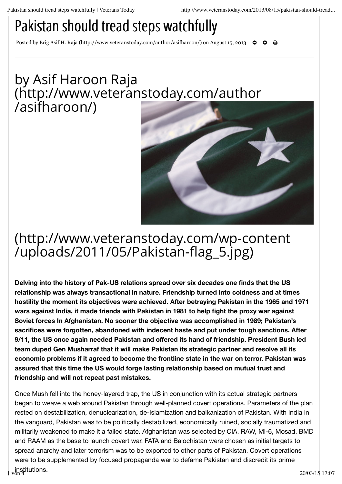## Pakistan should tread steps watchfully

Posted by Brig Asif H. Raja (http://www.veteranstoday.com/author/asifharoon/) on August 15, 2013 **← ↑** +  $\bullet$ 

## by Asif Haroon Raja (http://www.veteranstoday.com/author /asifharoon/)



## (http://www.veteranstoday.com/wp-content /uploads/2011/05/Pakistan-flag\_5.jpg)

**Delving into the history of Pak-US relations spread over six decades one finds that the US relationship was always transactional in nature. Friendship turned into coldness and at times hostility the moment its objectives were achieved. After betraying Pakistan in the 1965 and 1971 wars against India, it made friends with Pakistan in 1981 to help fight the proxy war against Soviet forces In Afghanistan. No sooner the objective was accomplished in 1989; Pakistan's sacrifices were forgotten, abandoned with indecent haste and put under tough sanctions. After 9/11, the US once again needed Pakistan and offered its hand of friendship. President Bush led team duped Gen Musharraf that it will make Pakistan its strategic partner and resolve all its economic problems if it agreed to become the frontline state in the war on terror. Pakistan was assured that this time the US would forge lasting relationship based on mutual trust and friendship and will not repeat past mistakes.**

Once Mush fell into the honey-layered trap, the US in conjunction with its actual strategic partners began to weave a web around Pakistan through well-planned covert operations. Parameters of the plan rested on destabilization, denuclearization, de-Islamization and balkanization of Pakistan. With India in the vanguard, Pakistan was to be politically destabilized, economically ruined, socially traumatized and militarily weakened to make it a failed state. Afghanistan was selected by CIA, RAW, MI-6, Mosad, BMD and RAAM as the base to launch covert war. FATA and Balochistan were chosen as initial targets to spread anarchy and later terrorism was to be exported to other parts of Pakistan. Covert operations were to be supplemented by focused propaganda war to defame Pakistan and discredit its prime institutions.  $\frac{1}{2}$  von 4  $\frac{1}{2}$  20/03/15 17:07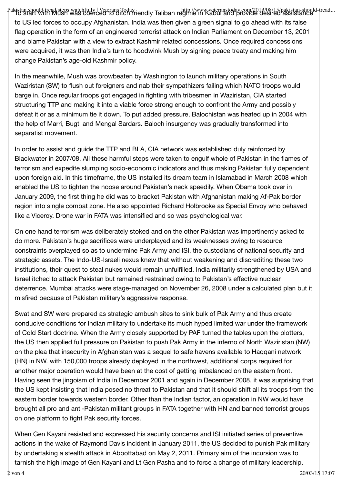Pak<del>i</del>stan should tread steps watchfully | Veterans Today http://www.veteranstoday.com/2013/08/15/pakistan-should-tread...<br>| Ho start With Mush was coerced to ditch friendly Taliban regime in Kabul and provide desired assi to US led forces to occupy Afghanistan. India was then given a green signal to go ahead with its false flag operation in the form of an engineered terrorist attack on Indian Parliament on December 13, 2001 and blame Pakistan with a view to extract Kashmir related concessions. Once required concessions were acquired, it was then India's turn to hoodwink Mush by signing peace treaty and making him change Pakistan's age-old Kashmir policy.

In the meanwhile, Mush was browbeaten by Washington to launch military operations in South Waziristan (SW) to flush out foreigners and nab their sympathizers failing which NATO troops would barge in. Once regular troops got engaged in fighting with tribesmen in Waziristan, CIA started structuring TTP and making it into a viable force strong enough to confront the Army and possibly defeat it or as a minimum tie it down. To put added pressure, Balochistan was heated up in 2004 with the help of Marri, Bugti and Mengal Sardars. Baloch insurgency was gradually transformed into separatist movement.

In order to assist and guide the TTP and BLA, CIA network was established duly reinforced by Blackwater in 2007/08. All these harmful steps were taken to engulf whole of Pakistan in the flames of terrorism and expedite slumping socio-economic indicators and thus making Pakistan fully dependent upon foreign aid. In this timeframe, the US installed its dream team in Islamabad in March 2008 which enabled the US to tighten the noose around Pakistan's neck speedily. When Obama took over in January 2009, the first thing he did was to bracket Pakistan with Afghanistan making Af-Pak border region into single combat zone. He also appointed Richard Holbrooke as Special Envoy who behaved like a Viceroy. Drone war in FATA was intensified and so was psychological war.

On one hand terrorism was deliberately stoked and on the other Pakistan was impertinently asked to do more. Pakistan's huge sacrifices were underplayed and its weaknesses owing to resource constraints overplayed so as to undermine Pak Army and ISI, the custodians of national security and strategic assets. The Indo-US-Israeli nexus knew that without weakening and discrediting these two institutions, their quest to steal nukes would remain unfulfilled. India militarily strengthened by USA and Israel itched to attack Pakistan but remained restrained owing to Pakistan's effective nuclear deterrence. Mumbai attacks were stage-managed on November 26, 2008 under a calculated plan but it misfired because of Pakistan military's aggressive response.

Swat and SW were prepared as strategic ambush sites to sink bulk of Pak Army and thus create conducive conditions for Indian military to undertake its much hyped limited war under the framework of Cold Start doctrine. When the Army closely supported by PAF turned the tables upon the plotters, the US then applied full pressure on Pakistan to push Pak Army in the inferno of North Waziristan (NW) on the plea that insecurity in Afghanistan was a sequel to safe havens available to Haqqani network (HN) in NW. with 150,000 troops already deployed in the northwest, additional corps required for another major operation would have been at the cost of getting imbalanced on the eastern front. Having seen the jingoism of India in December 2001 and again in December 2008, it was surprising that the US kept insisting that India posed no threat to Pakistan and that it should shift all its troops from the eastern border towards western border. Other than the Indian factor, an operation in NW would have brought all pro and anti-Pakistan militant groups in FATA together with HN and banned terrorist groups on one platform to fight Pak security forces.

When Gen Kayani resisted and expressed his security concerns and ISI initiated series of preventive actions in the wake of Raymond Davis incident in January 2011, the US decided to punish Pak military by undertaking a stealth attack in Abbottabad on May 2, 2011. Primary aim of the incursion was to tarnish the high image of Gen Kayani and Lt Gen Pasha and to force a change of military leadership.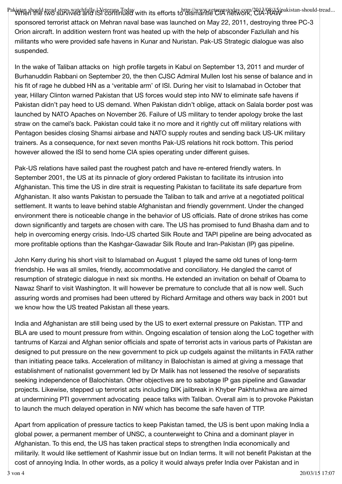Pakistan should tread steps watchfully ISVeterans Today with its efforts to dismantle CIA network, CIA-RAW akistan-should-tread...<br>The When the two survived and ISV continued with its efforts to dismantle CIA network, CIAsponsored terrorist attack on Mehran naval base was launched on May 22, 2011, destroying three PC-3 Orion aircraft. In addition western front was heated up with the help of absconder Fazlullah and his militants who were provided safe havens in Kunar and Nuristan. Pak-US Strategic dialogue was also suspended.

In the wake of Taliban attacks on high profile targets in Kabul on September 13, 2011 and murder of Burhanuddin Rabbani on September 20, the then CJSC Admiral Mullen lost his sense of balance and in his fit of rage he dubbed HN as a 'veritable arm' of ISI. During her visit to Islamabad in October that year, Hillary Clinton warned Pakistan that US forces would step into NW to eliminate safe havens if Pakistan didn't pay heed to US demand. When Pakistan didn't oblige, attack on Salala border post was launched by NATO Apaches on November 26. Failure of US military to tender apology broke the last straw on the camel's back. Pakistan could take it no more and it rightly cut off military relations with Pentagon besides closing Shamsi airbase and NATO supply routes and sending back US-UK military trainers. As a consequence, for next seven months Pak-US relations hit rock bottom. This period however allowed the ISI to send home CIA spies operating under different guises.

Pak-US relations have sailed past the roughest patch and have re-entered friendly waters. In September 2001, the US at its pinnacle of glory ordered Pakistan to facilitate its intrusion into Afghanistan. This time the US in dire strait is requesting Pakistan to facilitate its safe departure from Afghanistan. It also wants Pakistan to persuade the Taliban to talk and arrive at a negotiated political settlement. It wants to leave behind stable Afghanistan and friendly government. Under the changed environment there is noticeable change in the behavior of US officials. Rate of drone strikes has come down significantly and targets are chosen with care. The US has promised to fund Bhasha dam and to help in overcoming energy crisis. Indo-US charted Silk Route and TAPI pipeline are being advocated as more profitable options than the Kashgar-Gawadar Silk Route and Iran-Pakistan (IP) gas pipeline.

John Kerry during his short visit to Islamabad on August 1 played the same old tunes of long-term friendship. He was all smiles, friendly, accommodative and conciliatory. He dangled the carrot of resumption of strategic dialogue in next six months. He extended an invitation on behalf of Obama to Nawaz Sharif to visit Washington. It will however be premature to conclude that all is now well. Such assuring words and promises had been uttered by Richard Armitage and others way back in 2001 but we know how the US treated Pakistan all these years.

India and Afghanistan are still being used by the US to exert external pressure on Pakistan. TTP and BLA are used to mount pressure from within. Ongoing escalation of tension along the LoC together with tantrums of Karzai and Afghan senior officials and spate of terrorist acts in various parts of Pakistan are designed to put pressure on the new government to pick up cudgels against the militants in FATA rather than initiating peace talks. Acceleration of militancy in Balochistan is aimed at giving a message that establishment of nationalist government led by Dr Malik has not lessened the resolve of separatists seeking independence of Balochistan. Other objectives are to sabotage IP gas pipeline and Gawadar projects. Likewise, stepped up terrorist acts including DIK jailbreak in Khyber Pakhtunkhwa are aimed at undermining PTI government advocating peace talks with Taliban. Overall aim is to provoke Pakistan to launch the much delayed operation in NW which has become the safe haven of TTP.

Apart from application of pressure tactics to keep Pakistan tamed, the US is bent upon making India a global power, a permanent member of UNSC, a counterweight to China and a dominant player in Afghanistan. To this end, the US has taken practical steps to strengthen India economically and militarily. It would like settlement of Kashmir issue but on Indian terms. It will not benefit Pakistan at the cost of annoying India. In other words, as a policy it would always prefer India over Pakistan and in